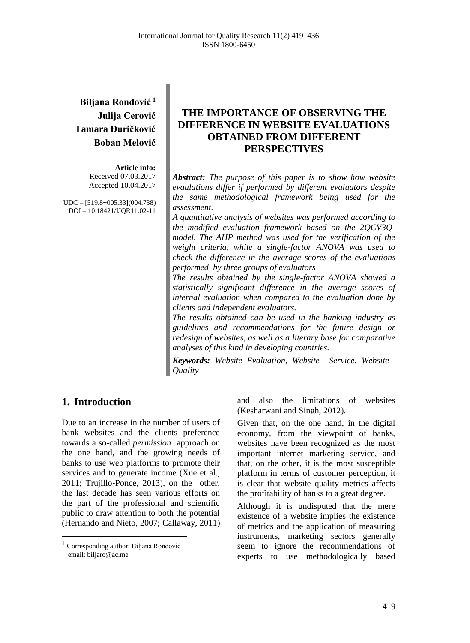# **Biljana Rondović <sup>1</sup> Julija Cerović Tamara Đuričković Boban Melović**

**Article info:** Received 07.03.2017 Accepted 10.04.2017

UDC – [519.8+005.33](004.738) DOI – 10.18421/IJQR11.02-11

# **THE IMPORTANCE OF OBSERVING THE DIFFERENCE IN WEBSITE EVALUATIONS OBTAINED FROM DIFFERENT PERSPECTIVES**

*Abstract: The purpose of this paper is to show how website evaulations differ if performed by different evaluators despite the same methodological framework being used for the assessment.*

*A quantitative analysis of websites was performed according to the modified evaluation framework based on the 2QCV3Qmodel. The AHP method was used for the verification of the weight criteria, while a single-factor ANOVA was used to check the difference in the average scores of the evaluations performed by three groups of evaluators* 

*The results obtained by the single-factor ANOVA showed a statistically significant difference in the average scores of internal evaluation when compared to the evaluation done by clients and independent evaluators.*

*The results obtained can be used in the banking industry as guidelines and recommendations for the future design or redesign of websites, as well as a literary base for comparative analyses of this kind in developing countries.*

*Keywords: Website Evaluation, Website Service, Website Quality*

## **1. Introduction<sup>1</sup>**

 $\overline{a}$ 

Due to an increase in the number of users of bank websites and the clients preference towards a so-called *permission* approach on the one hand, and the growing needs of banks to use web platforms to promote their services and to generate income (Xue et al., 2011; Trujillo‐Ponce, 2013), on the other, the last decade has seen various efforts on the part of the professional and scientific public to draw attention to both the potential (Hernando and Nieto, 2007; Callaway, 2011) and also the limitations of websites (Kesharwani and Singh, 2012).

Given that, on the one hand, in the digital economy, from the viewpoint of banks, websites have been recognized as the most important internet marketing service, and that, on the other, it is the most susceptible platform in terms of customer perception, it is clear that website quality metrics affects the profitability of banks to a great degree.

Although it is undisputed that the mere existence of a website implies the existence of metrics and the application of measuring instruments, marketing sectors generally seem to ignore the recommendations of experts to use methodologically based

<sup>1</sup> Corresponding author: Biljana Rondović email[: biljaro@ac.me](mailto:biljaro@ac.me)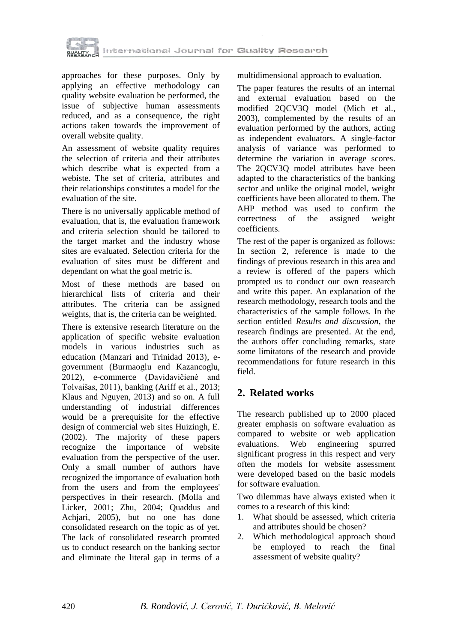

approaches for these purposes. Only by applying an effective methodology can quality website evaluation be performed, the issue of subjective human assessments reduced, and as a consequence, the right actions taken towards the improvement of overall website quality.

An assessment of website quality requires the selection of criteria and their attributes which describe what is expected from a webiste. The set of criteria, attributes and their relationships constitutes a model for the evaluation of the site.

There is no universally applicable method of evaluation, that is, the evaluation framework and criteria selection should be tailored to the target market and the industry whose sites are evaluated. Selection criteria for the evaluation of sites must be different and dependant on what the goal metric is.

Most of these methods are based on hierarchical lists of criteria and their attributes. The criteria can be assigned weights, that is, the criteria can be weighted.

There is extensive research literature on the application of specific website evaluation models in various industries such as education (Manzari and Trinidad 2013), egovernment (Burmaoglu end Kazancoglu, 2012), e-commerce (Davidavičienė and Tolvaišas, 2011), banking (Ariff et al., 2013; Klaus and Nguyen, 2013) and so on. A full understanding of industrial differences would be a prerequisite for the effective design of commercial web sites Huizingh, E. (2002). The majority of these papers recognize the importance of website evaluation from the perspective of the user. Only a small number of authors have recognized the importance of evaluation both from the users and from the employees' perspectives in their research. (Molla and Licker, 2001; Zhu, 2004; Quaddus and Achjari, 2005), but no one has done consolidated research on the topic as of yet. The lack of consolidated research promted us to conduct research on the banking sector and eliminate the literal gap in terms of a multidimensional approach to evaluation.

The paper features the results of an internal and external evaluation based on the modified 2QCV3Q model (Mich et al., 2003), complemented by the results of an evaluation performed by the authors, acting as independent evaluators. A single-factor analysis of variance was performed to determine the variation in average scores. The 2QCV3Q model attributes have been adapted to the characteristics of the banking sector and unlike the original model, weight coefficients have been allocated to them. The AHP method was used to confirm the correctness of the assigned weight coefficients.

The rest of the paper is organized as follows: In section 2, reference is made to the findings of previous research in this area and a review is offered of the papers which prompted us to conduct our own reasearch and write this paper. An explanation of the research methodology, research tools and the characteristics of the sample follows. In the section entitled *Results and discussion*, the research findings are presented. At the end, the authors offer concluding remarks, state some limitatons of the research and provide recommendations for future research in this field.

## **2. Related works**

The research published up to 2000 placed greater emphasis on software evaluation as compared to website or web application evaluations. Web engineering spurred significant progress in this respect and very often the models for website assessment were developed based on the basic models for software evaluation.

Two dilemmas have always existed when it comes to a research of this kind:

- 1. What should be assessed, which criteria and attributes should be chosen?
- 2. Which methodological approach shoud be employed to reach the final assessment of website quality?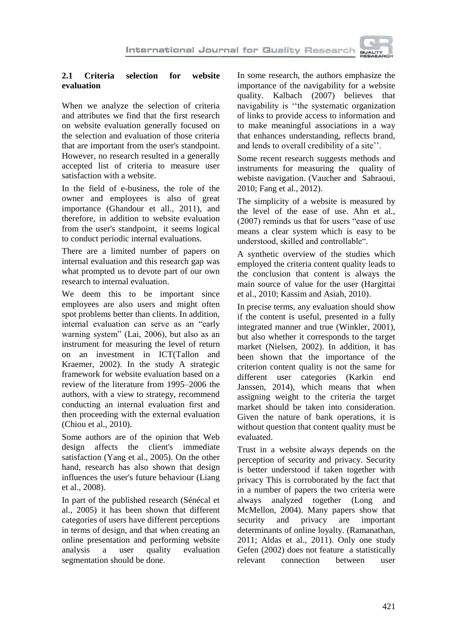

## **2.1 Criteria selection for website evaluation**

When we analyze the selection of criteria and attributes we find that the first research on website evaluation generally focused on the selection and evaluation of those criteria that are important from the user's standpoint. However, no research resulted in a generally accepted list of criteria to measure user satisfaction with a website.

In the field of e-business, the role of the owner and employees is also of great importance (Ghandour et all., 2011), and therefore, in addition to website evaluation from the user's standpoint, it seems logical to conduct periodic internal evaluations.

There are a limited number of papers on internal evaluation and this research gap was what prompted us to devote part of our own research to internal evaluation.

We deem this to be important since employees are also users and might often spot problems better than clients. In addition, internal evaluation can serve as an "early warning system" (Lai, 2006), but also as an instrument for measuring the level of return on an investment in ICT(Tallon and Kraemer, 2002). In the study A strategic framework for website evaluation based on a review of the literature from 1995–2006 the authors, with a view to strategy, recommend conducting an internal evaluation first and then proceeding with the external evaluation (Chiou et al., 2010).

Some authors are of the opinion that Web design affects the client's immediate satisfaction (Yang et al., 2005). On the other hand, research has also shown that design influences the user's future behaviour (Liang et al., 2008).

In part of the published research (Sénécal et al., 2005) it has been shown that different categories of users have different perceptions in terms of design, and that when creating an online presentation and performing website analysis a user quality evaluation segmentation should be done.

In some research, the authors emphasize the importance of the navigability for a website quality. Kalbach (2007) believes that navigability is ''the systematic organization of links to provide access to information and to make meaningful associations in a way that enhances understanding, reflects brand, and lends to overall credibility of a site''.

Some recent research suggests methods and instruments for measuring the quality of webiste navigation. (Vaucher and Sahraoui, 2010; Fang et al., 2012).

The simplicity of a website is measured by the level of the ease of use. Ahn et al., (2007) reminds us that for users "ease of use means a clear system which is easy to be understood, skilled and controllable".

A synthetic overview of the studies which employed the criteria content quality leads to the conclusion that content is always the main source of value for the user (Hargittai et al., 2010; Kassim and Asiah, 2010).

In precise terms, any evaluation should show if the content is useful, presented in a fully integrated manner and true (Winkler, 2001), but also whether it corresponds to the target market (Nielsen, 2002). In addition, it has been shown that the importance of the criterion content quality is not the same for different user categories (Karkin end Janssen, 2014), which means that when assigning weight to the criteria the target market should be taken into consideration. Given the nature of bank operations, it is without question that content quality must be evaluated.

Trust in a website always depends on the perception of security and privacy. Security is better understood if taken together with privacy This is corroborated by the fact that in a number of papers the two criteria were always analyzed together (Long and McMellon, 2004). Many papers show that security and privacy are important determinants of online loyalty. (Ramanathan, 2011; Aldas et al., 2011). Only one study Gefen (2002) does not feature a statistically relevant connection between user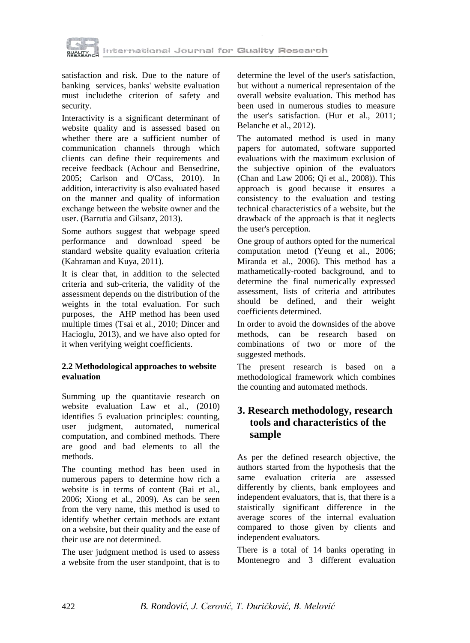

satisfaction and risk. Due to the nature of banking services, banks' website evaluation must includethe criterion of safety and security.

Interactivity is a significant determinant of website quality and is assessed based on whether there are a sufficient number of communication channels through which clients can define their requirements and receive feedback (Achour and Bensedrine, 2005; Carlson and O'Cass, 2010). In addition, interactivity is also evaluated based on the manner and quality of information exchange between the website owner and the user. (Barrutia and Gilsanz, 2013).

Some authors suggest that webpage speed performance and download speed be standard website quality evaluation criteria (Kahraman and Kuya, 2011).

It is clear that, in addition to the selected criteria and sub-criteria, the validity of the assessment depends on the distribution of the weights in the total evaluation. For such purposes, the AHP method has been used multiple times (Tsai et al., 2010; Dincer and Hacioglu, 2013), and we have also opted for it when verifying weight coefficients.

## **2.2 Methodological approaches to website evaluation**

Summing up the quantitavie research on website evaluation Law et al., (2010) identifies 5 evaluation principles: counting, user judgment, automated, numerical computation, and combined methods. There are good and bad elements to all the methods.

The counting method has been used in numerous papers to determine how rich a website is in terms of content (Bai et al., 2006; Xiong et al., 2009). As can be seen from the very name, this method is used to identify whether certain methods are extant on a website, but their quality and the ease of their use are not determined.

The user judgment method is used to assess a website from the user standpoint, that is to

determine the level of the user's satisfaction, but without a numerical representaion of the overall website evaluation. This method has been used in numerous studies to measure the user's satisfaction. (Hur et al., 2011; Belanche et al., 2012).

The automated method is used in many papers for automated, software supported evaluations with the maximum exclusion of the subjective opinion of the evaluators (Chan and Law 2006; Qi et al., 2008)). This approach is good because it ensures a consistency to the evaluation and testing technical characteristics of a website, but the drawback of the approach is that it neglects the user's perception.

One group of authors opted for the numerical computation metod (Yeung et al., 2006; Miranda et al., 2006). This method has a mathametically-rooted background, and to determine the final numerically expressed assessment, lists of criteria and attributes should be defined, and their weight coefficients determined.

In order to avoid the downsides of the above methods, can be research based on combinations of two or more of the suggested methods.

The present research is based on a methodological framework which combines the counting and automated methods.

## **3. Research methodology, research tools and characteristics of the sample**

As per the defined research objective, the authors started from the hypothesis that the same evaluation criteria are assessed differently by clients, bank employees and independent evaluators, that is, that there is a staistically significant difference in the average scores of the internal evaluation compared to those given by clients and independent evaluators.

There is a total of 14 banks operating in Montenegro and 3 different evaluation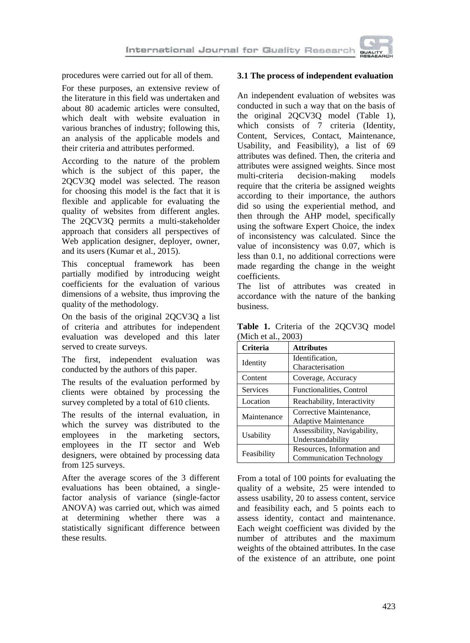

procedures were carried out for all of them.

For these purposes, an extensive review of the literature in this field was undertaken and about 80 academic articles were consulted, which dealt with website evaluation in various branches of industry; following this, an analysis of the applicable models and their criteria and attributes performed.

According to the nature of the problem which is the subject of this paper, the 2QCV3Q model was selected. The reason for choosing this model is the fact that it is flexible and applicable for evaluating the quality of websites from different angles. The 2QCV3Q permits a multi-stakeholder approach that considers all perspectives of Web application designer, deployer, owner, and its users (Kumar et al., 2015).

This conceptual framework has been partially modified by introducing weight coefficients for the evaluation of various dimensions of a website, thus improving the quality of the methodology.

On the basis of the original 2QCV3Q a list of criteria and attributes for independent evaluation was developed and this later served to create surveys.

The first, independent evaluation was conducted by the authors of this paper.

The results of the evaluation performed by clients were obtained by processing the survey completed by a total of 610 clients.

The results of the internal evaluation, in which the survey was distributed to the employees in the marketing sectors, employees in the IT sector and Web designers, were obtained by processing data from 125 surveys.

After the average scores of the 3 different evaluations has been obtained, a singlefactor analysis of variance (single-factor ANOVA) was carried out, which was aimed at determining whether there was a statistically significant difference between these results.

### **3.1 The process of independent evaluation**

An independent evaluation of websites was conducted in such a way that on the basis of the original 2QCV3Q model (Table 1), which consists of 7 criteria (Identity, Content, Services, Contact, Maintenance, Usability, and Feasibility), a list of 69 attributes was defined. Then, the criteria and attributes were assigned weights. Since most multi-criteria decision-making models require that the criteria be assigned weights according to their importance, the authors did so using the experiential method, and then through the AHP model, specifically using the software Expert Choice, the index of inconsistency was calculated. Since the value of inconsistency was 0.07, which is less than 0.1, no additional corrections were made regarding the change in the weight coefficients.

The list of attributes was created in accordance with the nature of the banking business.

**Table 1.** Criteria of the 2QCV3Q model (Mich et al., 2003)

| Criteria    | <b>Attributes</b>               |  |  |  |
|-------------|---------------------------------|--|--|--|
| Identity    | Identification.                 |  |  |  |
|             | Characterisation                |  |  |  |
| Content     | Coverage, Accuracy              |  |  |  |
| Services    | Functionalities, Control        |  |  |  |
| Location    | Reachability, Interactivity     |  |  |  |
| Maintenance | Corrective Maintenance,         |  |  |  |
|             | <b>Adaptive Maintenance</b>     |  |  |  |
|             | Assessibility, Navigability,    |  |  |  |
| Usability   | Understandability               |  |  |  |
| Feasibility | Resources, Information and      |  |  |  |
|             | <b>Communication Technology</b> |  |  |  |

From a total of 100 points for evaluating the quality of a website, 25 were intended to assess usability, 20 to assess content, service and feasibility each, and 5 points each to assess identity, contact and maintenance. Each weight coefficient was divided by the number of attributes and the maximum weights of the obtained attributes. In the case of the existence of an attribute, one point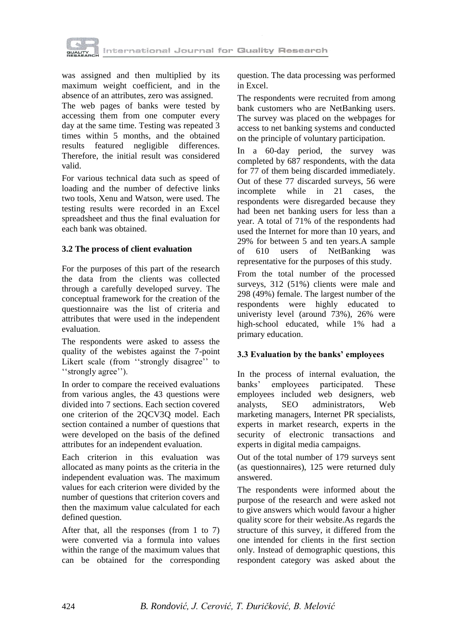

was assigned and then multiplied by its maximum weight coefficient, and in the absence of an attributes, zero was assigned.

The web pages of banks were tested by accessing them from one computer every day at the same time. Testing was repeated 3 times within 5 months, and the obtained results featured negligible differences. Therefore, the initial result was considered valid.

For various technical data such as speed of loading and the number of defective links two tools, Xenu and Watson, were used. The testing results were recorded in an Excel spreadsheet and thus the final evaluation for each bank was obtained.

### **3.2 The process of client evaluation**

For the purposes of this part of the research the data from the clients was collected through a carefully developed survey. The conceptual framework for the creation of the questionnaire was the list of criteria and attributes that were used in the independent evaluation.

The respondents were asked to assess the quality of the webistes against the 7-point Likert scale (from "strongly disagree" to "strongly agree").

In order to compare the received evaluations from various angles, the 43 questions were divided into 7 sections. Each section covered one criterion of the 2QCV3Q model. Each section contained a number of questions that were developed on the basis of the defined attributes for an independent evaluation.

Each criterion in this evaluation was allocated as many points as the criteria in the independent evaluation was. The maximum values for each criterion were divided by the number of questions that criterion covers and then the maximum value calculated for each defined question.

After that, all the responses (from 1 to 7) were converted via a formula into values within the range of the maximum values that can be obtained for the corresponding

question. The data processing was performed in Excel.

The respondents were recruited from among bank customers who are NetBanking users. The survey was placed on the webpages for access to net banking systems and conducted on the principle of voluntary participation.

In a 60-day period, the survey was completed by 687 respondents, with the data for 77 of them being discarded immediately. Out of these 77 discarded surveys, 56 were incomplete while in 21 cases, the respondents were disregarded because they had been net banking users for less than a year. A total of 71% of the respondents had used the Internet for more than 10 years, and 29% for between 5 and ten years.A sample of 610 users of NetBanking was representative for the purposes of this study.

From the total number of the processed surveys, 312 (51%) clients were male and 298 (49%) female. The largest number of the respondents were highly educated to univeristy level (around 73%), 26% were high-school educated, while 1% had a primary education.

## **3.3 Evaluation by the banks' employees**

In the process of internal evaluation, the banks' employees participated. These employees included web designers, web analysts, SEO administrators, Web marketing managers, Internet PR specialists, experts in market research, experts in the security of electronic transactions and experts in digital media campaigns.

Out of the total number of 179 surveys sent (as questionnaires), 125 were returned duly answered.

The respondents were informed about the purpose of the research and were asked not to give answers which would favour a higher quality score for their website.As regards the structure of this survey, it differed from the one intended for clients in the first section only. Instead of demographic questions, this respondent category was asked about the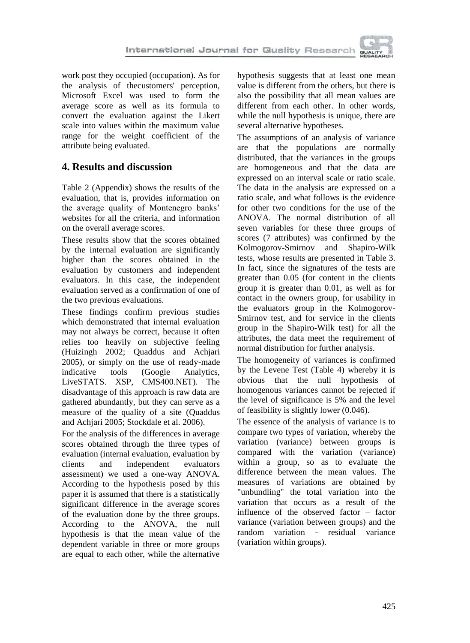

work post they occupied (occupation). As for the analysis of thecustomers' perception, Microsoft Excel was used to form the average score as well as its formula to convert the evaluation against the Likert scale into values within the maximum value range for the weight coefficient of the attribute being evaluated.

# **4. Results and discussion**

Table 2 (Appendix) shows the results of the evaluation, that is, provides information on the average quality of Montenegro banks' websites for all the criteria, and information on the overall average scores.

These results show that the scores obtained by the internal evaluation are significantly higher than the scores obtained in the evaluation by customers and independent evaluators. In this case, the independent evaluation served as a confirmation of one of the two previous evaluations.

These findings confirm previous studies which demonstrated that internal evaluation may not always be correct, because it often relies too heavily on subjective feeling (Huizingh 2002; Quaddus and Achjari 2005), or simply on the use of ready-made indicative tools (Google Analytics, LiveSTATS. XSP, CMS400.NET). The disadvantage of this approach is raw data are gathered abundantly, but they can serve as a measure of the quality of a site (Quaddus and Achjari 2005; Stockdale et al. 2006).

For the analysis of the differences in average scores obtained through the three types of evaluation (internal evaluation, evaluation by clients and independent evaluators assessment) we used a one-way ANOVA. According to the hypothesis posed by this paper it is assumed that there is a statistically significant difference in the average scores of the evaluation done by the three groups. According to the ANOVA, the null hypothesis is that the mean value of the dependent variable in three or more groups are equal to each other, while the alternative

hypothesis suggests that at least one mean value is different from the others, but there is also the possibility that all mean values are different from each other. In other words, while the null hypothesis is unique, there are several alternative hypotheses.

The assumptions of an analysis of variance are that the populations are normally distributed, that the variances in the groups are homogeneous and that the data are expressed on an interval scale or ratio scale. The data in the analysis are expressed on a ratio scale, and what follows is the evidence for other two conditions for the use of the ANOVA. The normal distribution of all seven variables for these three groups of scores (7 attributes) was confirmed by the Kolmogorov-Smirnov and Shapiro-Wilk tests, whose results are presented in Table 3. In fact, since the signatures of the tests are greater than 0.05 (for content in the clients group it is greater than 0.01, as well as for contact in the owners group, for usability in the evaluators group in the Kolmogorov-Smirnov test, and for service in the clients group in the Shapiro-Wilk test) for all the attributes, the data meet the requirement of normal distribution for further analysis.

The homogeneity of variances is confirmed by the Levene Test (Table 4) whereby it is obvious that the null hypothesis of homogenous variances cannot be rejected if the level of significance is 5% and the level of feasibility is slightly lower (0.046).

The essence of the analysis of variance is to compare two types of variation, whereby the variation (variance) between groups is compared with the variation (variance) within a group, so as to evaluate the difference between the mean values. The measures of variations are obtained by "unbundling" the total variation into the variation that occurs as a result of the influence of the observed factor – factor variance (variation between groups) and the random variation - residual variance (variation within groups).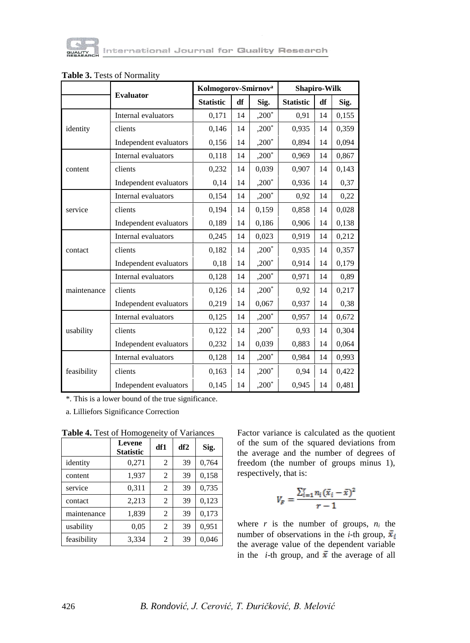

|             |                        | Kolmogorov-Smirnov <sup>a</sup> |    |         | <b>Shapiro-Wilk</b> |    |       |  |
|-------------|------------------------|---------------------------------|----|---------|---------------------|----|-------|--|
|             | <b>Evaluator</b>       | <b>Statistic</b>                | df | Sig.    | <b>Statistic</b>    | df | Sig.  |  |
|             | Internal evaluators    | 0,171                           | 14 | $,200*$ | 0.91                | 14 | 0,155 |  |
| identity    | clients                | 0,146                           | 14 | $,200*$ | 0,935               | 14 | 0,359 |  |
|             | Independent evaluators | 0,156                           | 14 | $,200*$ | 0,894               | 14 | 0,094 |  |
|             | Internal evaluators    | 0,118                           | 14 | $,200*$ | 0,969               | 14 | 0,867 |  |
| content     | clients                | 0,232                           | 14 | 0,039   | 0,907               | 14 | 0,143 |  |
|             | Independent evaluators | 0,14                            | 14 | $,200*$ | 0,936               | 14 | 0,37  |  |
|             | Internal evaluators    | 0,154                           | 14 | $,200*$ | 0.92                | 14 | 0,22  |  |
| service     | clients                | 0,194                           | 14 | 0,159   | 0,858               | 14 | 0,028 |  |
|             | Independent evaluators | 0,189                           | 14 | 0,186   | 0,906               | 14 | 0,138 |  |
|             | Internal evaluators    | 0,245                           | 14 | 0,023   | 0,919               | 14 | 0,212 |  |
| contact     | clients                | 0,182                           | 14 | $,200*$ | 0,935               | 14 | 0,357 |  |
|             | Independent evaluators | 0,18                            | 14 | $,200*$ | 0,914               | 14 | 0,179 |  |
|             | Internal evaluators    | 0,128                           | 14 | $,200*$ | 0,971               | 14 | 0,89  |  |
| maintenance | clients                | 0,126                           | 14 | $,200*$ | 0,92                | 14 | 0,217 |  |
|             | Independent evaluators | 0,219                           | 14 | 0,067   | 0,937               | 14 | 0.38  |  |
|             | Internal evaluators    | 0,125                           | 14 | $,200*$ | 0,957               | 14 | 0,672 |  |
| usability   | clients                | 0,122                           | 14 | $,200*$ | 0.93                | 14 | 0,304 |  |
|             | Independent evaluators | 0,232                           | 14 | 0,039   | 0,883               | 14 | 0,064 |  |
| feasibility | Internal evaluators    | 0,128                           | 14 | $,200*$ | 0,984               | 14 | 0,993 |  |
|             | clients                | 0,163                           | 14 | $,200*$ | 0,94                | 14 | 0,422 |  |
|             | Independent evaluators | 0,145                           | 14 | $,200*$ | 0,945               | 14 | 0,481 |  |

### **Table 3.** Tests of Normality

\*. This is a lower bound of the true significance.

a. Lilliefors Significance Correction

|             | <b>Levene</b><br><b>Statistic</b> | df1            | df2 | Sig.  |
|-------------|-----------------------------------|----------------|-----|-------|
| identity    | 0,271                             | $\overline{c}$ | 39  | 0.764 |
| content     | 1,937                             | $\overline{c}$ | 39  | 0.158 |
| service     | 0,311                             | $\overline{c}$ | 39  | 0,735 |
| contact     | 2,213                             | $\overline{c}$ | 39  | 0,123 |
| maintenance | 1,839                             | 2              | 39  | 0,173 |
| usability   | 0.05                              | $\overline{c}$ | 39  | 0.951 |
| feasibility | 3,334                             | 2              | 39  | 0.046 |

**Table 4.** Test of Homogeneity of Variances

Factor variance is calculated as the quotient of the sum of the squared deviations from the average and the number of degrees of freedom (the number of groups minus 1), respectively, that is:

$$
V_F = \frac{\sum_{i=1}^r n_i (\bar{x}_i - \bar{x})^2}{r-1}
$$

where  $r$  is the number of groups,  $n_i$  the number of observations in the *i*-th group,  $\bar{x}_i$ the average value of the dependent variable in the *i*-th group, and  $\bar{x}$  the average of all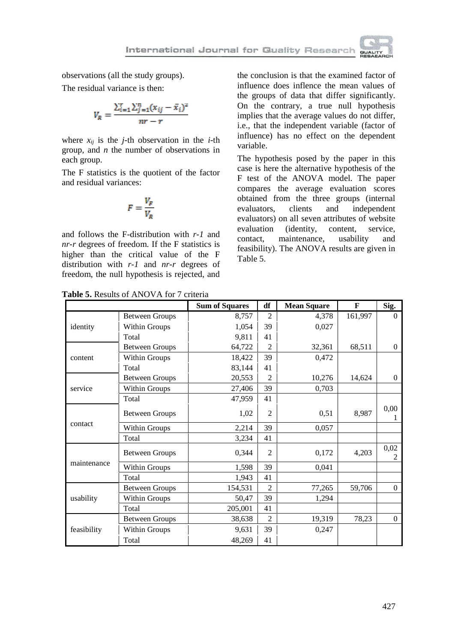

observations (all the study groups).

The residual variance is then:

$$
V_R = \frac{\sum_{i=1}^{n} \sum_{j=1}^{n} (x_{ij} - \bar{x}_i)^2}{nr - r}
$$

where  $x_{ij}$  is the *j*-th observation in the *i*-th group, and *n* the number of observations in each group.

The F statistics is the quotient of the factor and residual variances:

$$
F = \frac{V_F}{V_R}
$$

and follows the F-distribution with *r-1* and *nr-r* degrees of freedom. If the F statistics is higher than the critical value of the F distribution with *r-1* and *nr-r* degrees of freedom, the null hypothesis is rejected, and

the conclusion is that the examined factor of influence does inflence the mean values of the groups of data that differ significantly. On the contrary, a true null hypothesis implies that the average values do not differ, i.e., that the independent variable (factor of influence) has no effect on the dependent variable.

The hypothesis posed by the paper in this case is here the alternative hypothesis of the F test of the ANOVA model. The paper compares the average evaluation scores obtained from the three groups (internal evaluators, clients and independent evaluators) on all seven attributes of website evaluation (identity, content, service, contact, maintenance, usability and feasibility). The ANOVA results are given in Table 5.

|             |                       | <b>Sum of Squares</b> | df             | <b>Mean Square</b> | $\mathbf{F}$ | Sig.           |
|-------------|-----------------------|-----------------------|----------------|--------------------|--------------|----------------|
|             | <b>Between Groups</b> | 8,757                 | $\overline{2}$ | 4,378              | 161,997      | $\Omega$       |
| identity    | Within Groups         | 1,054                 | 39             | 0,027              |              |                |
|             | Total                 | 9,811                 | 41             |                    |              |                |
|             | <b>Between Groups</b> | 64,722                | $\overline{2}$ | 32,361             | 68,511       | $\mathbf{0}$   |
| content     | Within Groups         | 18,422                | 39             | 0,472              |              |                |
|             | Total                 | 83,144                | 41             |                    |              |                |
|             | <b>Between Groups</b> | 20,553                | $\overline{c}$ | 10,276             | 14,624       | $\overline{0}$ |
| service     | Within Groups         | 27,406                | 39             | 0,703              |              |                |
|             | Total                 | 47,959                | 41             |                    |              |                |
|             | Between Groups        | 1,02                  | $\overline{c}$ | 0,51               | 8,987        | 0,00<br>T      |
| contact     | Within Groups         | 2,214                 | 39             | 0,057              |              |                |
|             | Total                 | 3,234                 | 41             |                    |              |                |
|             | <b>Between Groups</b> | 0,344                 | $\mathfrak{D}$ | 0,172              | 4,203        | 0,02<br>2      |
| maintenance | Within Groups         | 1,598                 | 39             | 0,041              |              |                |
|             | Total                 | 1,943                 | 41             |                    |              |                |
|             | <b>Between Groups</b> | 154,531               | $\overline{2}$ | 77,265             | 59,706       | $\theta$       |
| usability   | Within Groups         | 50,47                 | 39             | 1,294              |              |                |
|             | Total                 | 205,001               | 41             |                    |              |                |
|             | <b>Between Groups</b> | 38,638                | $\overline{c}$ | 19,319             | 78,23        | $\Omega$       |
| feasibility | Within Groups         | 9,631                 | 39             | 0,247              |              |                |
|             | Total                 | 48,269                | 41             |                    |              |                |

**Table 5.** Results of ANOVA for 7 criteria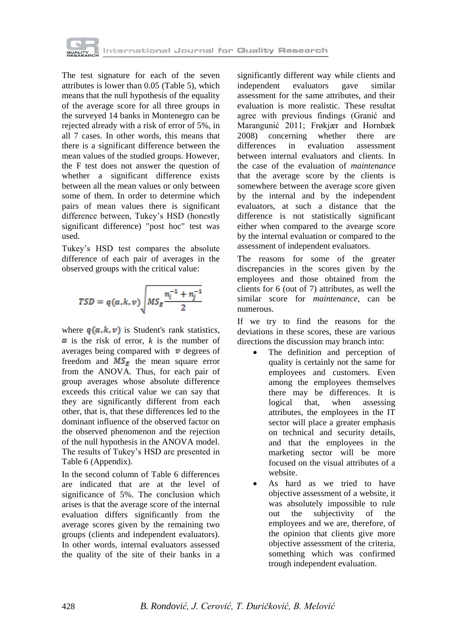

The test signature for each of the seven attributes is lower than 0.05 (Table 5), which means that the null hypothesis of the equality of the average score for all three groups in the surveyed 14 banks in Montenegro can be rejected already with a risk of error of 5%, in all 7 cases. In other words, this means that there is a significant difference between the mean values of the studied groups. However, the F test does not answer the question of whether a significant difference exists between all the mean values or only between some of them. In order to determine which pairs of mean values there is significant difference between, Tukey's HSD (honestly significant difference) "post hoc" test was used.

Tukey's HSD test compares the absolute difference of each pair of averages in the observed groups with the critical value:

$$
TSD = q(\alpha, k, \nu) \sqrt{MS_E \frac{n_i^{-1} + n_j^{-1}}{2}}
$$

where  $q(a, k, v)$  is Student's rank statistics,  $\alpha$  is the risk of error, *k* is the number of averages being compared with  $\boldsymbol{v}$  degrees of freedom and  $MS_E$  the mean square error from the ANOVA. Thus, for each pair of group averages whose absolute difference exceeds this critical value we can say that they are significantly different from each other, that is, that these differences led to the dominant influence of the observed factor on the observed phenomenon and the rejection of the null hypothesis in the ANOVA model. The results of Tukey's HSD are presented in Table 6 (Appendix).

In the second column of Table 6 differences are indicated that are at the level of significance of 5%. The conclusion which arises is that the average score of the internal evaluation differs significantly from the average scores given by the remaining two groups (clients and independent evaluators). In other words, internal evaluators assessed the quality of the site of their banks in a

significantly different way while clients and independent evaluators gave similar assessment for the same attributes, and their evaluation is more realistic. These resultat agree with previous findings (Granić and Marangunić 2011; Frøkjær and Hornbæk 2008) concerning whether there are differences in evaluation assessment between internal evaluators and clients. In the case of the evaluation of *maintenance* that the average score by the clients is somewhere between the average score given by the internal and by the independent evaluators, at such a distance that the difference is not statistically significant either when compared to the avearge score by the internal evaluation or compared to the assessment of independent evaluators.

The reasons for some of the greater discrepancies in the scores given by the employees and those obtained from the clients for 6 (out of 7) attributes, as well the similar score for *maintenance*, can be numerous.

If we try to find the reasons for the deviations in these scores, these are various directions the discussion may branch into:

- The definition and perception of quality is certainly not the same for employees and customers. Even among the employees themselves there may be differences. It is logical that, when assessing attributes, the employees in the IT sector will place a greater emphasis on technical and security details, and that the employees in the marketing sector will be more focused on the visual attributes of a website.
- As hard as we tried to have objective assessment of a website, it was absolutely impossible to rule out the subjectivity of the employees and we are, therefore, of the opinion that clients give more objective assessment of the criteria, something which was confirmed trough independent evaluation.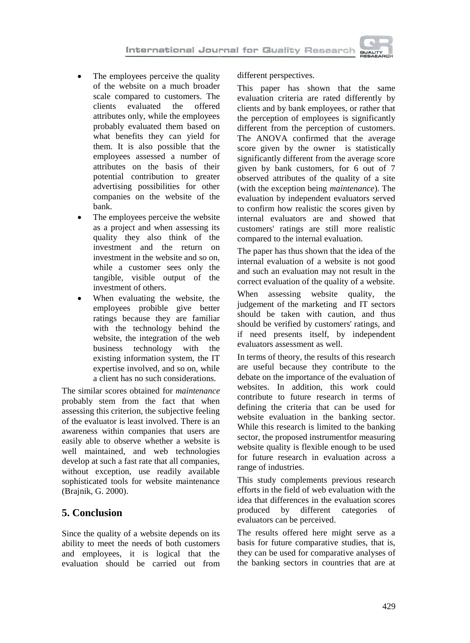- The employees perceive the quality of the website on a much broader scale compared to customers. The clients evaluated the offered attributes only, while the employees probably evaluated them based on what benefits they can yield for them. It is also possible that the employees assessed a number of attributes on the basis of their potential contribution to greater advertising possibilities for other companies on the website of the bank.
- The employees perceive the website as a project and when assessing its quality they also think of the investment and the return on investment in the website and so on, while a customer sees only the tangible, visible output of the investment of others.
- When evaluating the website, the employees probible give better ratings because they are familiar with the technology behind the website, the integration of the web business technology with the existing information system, the IT expertise involved, and so on, while a client has no such considerations.

The similar scores obtained for *maintenance* probably stem from the fact that when assessing this criterion, the subjective feeling of the evaluator is least involved. There is an awareness within companies that users are easily able to observe whether a website is well maintained, and web technologies develop at such a fast rate that all companies, without exception, use readily available sophisticated tools for website maintenance (Brajnik, G. 2000).

# **5. Conclusion**

Since the quality of a website depends on its ability to meet the needs of both customers and employees, it is logical that the evaluation should be carried out from

different perspectives.

This paper has shown that the same evaluation criteria are rated differently by clients and by bank employees, or rather that the perception of employees is significantly different from the perception of customers. The ANOVA confirmed that the average score given by the owner is statistically significantly different from the average score given by bank customers, for 6 out of 7 observed attributes of the quality of a site (with the exception being *maintenance*). The evaluation by independent evaluators served to confirm how realistic the scores given by internal evaluators are and showed that customers' ratings are still more realistic compared to the internal evaluation.

The paper has thus shown that the idea of the internal evaluation of a website is not good and such an evaluation may not result in the correct evaluation of the quality of a website.

When assessing website quality, the judgement of the marketing and IT sectors should be taken with caution, and thus should be verified by customers' ratings, and if need presents itself, by independent evaluators assessment as well.

In terms of theory, the results of this research are useful because they contribute to the debate on the importance of the evaluation of websites. In addition, this work could contribute to future research in terms of defining the criteria that can be used for website evaluation in the banking sector. While this research is limited to the banking sector, the proposed instrumentfor measuring website quality is flexible enough to be used for future research in evaluation across a range of industries.

This study complements previous research efforts in the field of web evaluation with the idea that differences in the evaluation scores produced by different categories of evaluators can be perceived.

The results offered here might serve as a basis for future comparative studies, that is, they can be used for comparative analyses of the banking sectors in countries that are at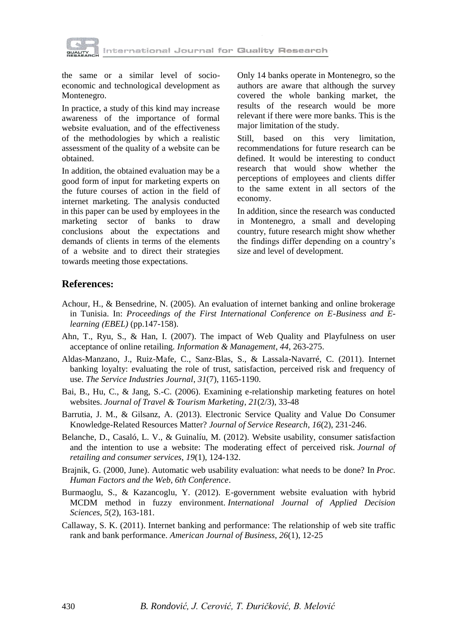

the same or a similar level of socioeconomic and technological development as Montenegro.

In practice, a study of this kind may increase awareness of the importance of formal website evaluation, and of the effectiveness of the methodologies by which a realistic assessment of the quality of a website can be obtained.

In addition, the obtained evaluation may be a good form of input for marketing experts on the future courses of action in the field of internet marketing. The analysis conducted in this paper can be used by employees in the marketing sector of banks to draw conclusions about the expectations and demands of clients in terms of the elements of a website and to direct their strategies towards meeting those expectations.

Only 14 banks operate in Montenegro, so the authors are aware that although the survey covered the whole banking market, the results of the research would be more relevant if there were more banks. This is the major limitation of the study.

Still, based on this very limitation, recommendations for future research can be defined. It would be interesting to conduct research that would show whether the perceptions of employees and clients differ to the same extent in all sectors of the economy.

In addition, since the research was conducted in Montenegro, a small and developing country, future research might show whether the findings differ depending on a country's size and level of development.

## **References:**

- Achour, H., & Bensedrine, N. (2005). An evaluation of internet banking and online brokerage in Tunisia. In: *Proceedings of the First International Conference on E-Business and Elearning (EBEL)* (pp.147-158).
- Ahn, T., Ryu, S., & Han, I. (2007). The impact of Web Quality and Playfulness on user acceptance of online retailing. *Information & Management*, *44*, 263-275.
- Aldas-Manzano, J., Ruiz-Mafe, C., Sanz-Blas, S., & Lassala-Navarré, C. (2011). Internet banking loyalty: evaluating the role of trust, satisfaction, perceived risk and frequency of use. *The Service Industries Journal*, *31*(7), 1165-1190.
- Bai, B., Hu, C., & Jang, S.-C. (2006). Examining e-relationship marketing features on hotel websites. *Journal of Travel & Tourism Marketing*, *21*(2/3), 33-48
- Barrutia, J. M., & Gilsanz, A. (2013). Electronic Service Quality and Value Do Consumer Knowledge-Related Resources Matter? *Journal of Service Research*, *16*(2), 231-246.
- Belanche, D., Casaló, L. V., & Guinalíu, M. (2012). Website usability, consumer satisfaction and the intention to use a website: The moderating effect of perceived risk. *Journal of retailing and consumer services*, *19*(1), 124-132.
- Brajnik, G. (2000, June). Automatic web usability evaluation: what needs to be done? In *Proc. Human Factors and the Web, 6th Conference*.
- Burmaoglu, S., & Kazancoglu, Y. (2012). E-government website evaluation with hybrid MCDM method in fuzzy environment. *International Journal of Applied Decision Sciences*, *5*(2), 163-181.
- Callaway, S. K. (2011). Internet banking and performance: The relationship of web site traffic rank and bank performance. *American Journal of Business*, *26*(1), 12-25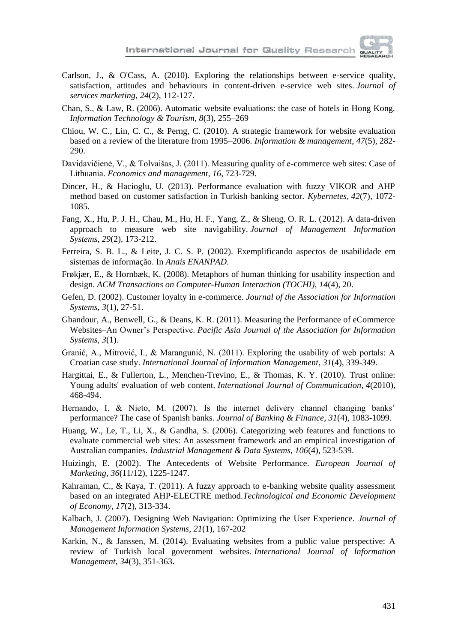

- Carlson, J., & O'Cass, A. (2010). Exploring the relationships between e-service quality, satisfaction, attitudes and behaviours in content-driven e-service web sites. *Journal of services marketing*, *24*(2), 112-127.
- Chan, S., & Law, R. (2006). Automatic website evaluations: the case of hotels in Hong Kong. *Information Technology & Tourism*, *8*(3), 255–269
- Chiou, W. C., Lin, C. C., & Perng, C. (2010). A strategic framework for website evaluation based on a review of the literature from 1995–2006. *Information & management*, *47*(5), 282- 290.
- Davidavičienė, V., & Tolvaišas, J. (2011). Measuring quality of e-commerce web sites: Case of Lithuania. *Economics and management*, *16*, 723-729.
- Dincer, H., & Hacioglu, U. (2013). Performance evaluation with fuzzy VIKOR and AHP method based on customer satisfaction in Turkish banking sector. *Kybernetes*, *42*(7), 1072- 1085.
- Fang, X., Hu, P. J. H., Chau, M., Hu, H. F., Yang, Z., & Sheng, O. R. L. (2012). A data-driven approach to measure web site navigability. *Journal of Management Information Systems*, *29*(2), 173-212.
- Ferreira, S. B. L., & Leite, J. C. S. P. (2002). Exemplificando aspectos de usabilidade em sistemas de informação. In *Anais ENANPAD*.
- Frøkjær, E., & Hornbæk, K. (2008). Metaphors of human thinking for usability inspection and design. *ACM Transactions on Computer-Human Interaction (TOCHI)*, *14*(4), 20.
- Gefen, D. (2002). Customer loyalty in e-commerce. *Journal of the Association for Information Systems*, *3*(1), 27-51.
- Ghandour, A., Benwell, G., & Deans, K. R. (2011). Measuring the Performance of eCommerce Websites–An Owner's Perspective. *Pacific Asia Journal of the Association for Information Systems*, *3*(1).
- Granić, A., Mitrović, I., & Marangunić, N. (2011). Exploring the usability of web portals: A Croatian case study. *International Journal of Information Management*, *31*(4), 339-349.
- Hargittai, E., & Fullerton, L., Menchen-Trevino, E., & Thomas, K. Y. (2010). Trust online: Young adults' evaluation of web content. *International Journal of Communication*, *4*(2010), 468-494.
- Hernando, I. & Nieto, M. (2007). Is the internet delivery channel changing banks' performance? The case of Spanish banks. *Journal of Banking & Finance*, *31*(4), 1083-1099.
- Huang, W., Le, T., Li, X., & Gandha, S. (2006). Categorizing web features and functions to evaluate commercial web sites: An assessment framework and an empirical investigation of Australian companies. *Industrial Management & Data Systems*, *106*(4), 523-539.
- Huizingh, E. (2002). The Antecedents of Website Performance*. European Journal of Marketing*, *36*(11/12), 1225-1247.
- Kahraman, C., & Kaya, T. (2011). A fuzzy approach to e-banking website quality assessment based on an integrated AHP-ELECTRE method.*Technological and Economic Development of Economy*, *17*(2), 313-334.
- Kalbach, J. (2007). Designing Web Navigation: Optimizing the User Experience. *Journal of Management Information Systems*, *21*(1), 167-202
- Karkin, N., & Janssen, M. (2014). Evaluating websites from a public value perspective: A review of Turkish local government websites. *International Journal of Information Management*, *34*(3), 351-363.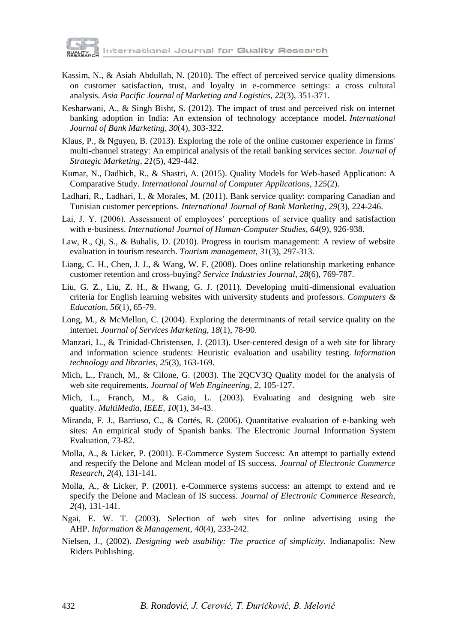

International Journal for Quality Research

- Kassim, N., & Asiah Abdullah, N. (2010). The effect of perceived service quality dimensions on customer satisfaction, trust, and loyalty in e-commerce settings: a cross cultural analysis. *Asia Pacific Journal of Marketing and Logistics*, *22*(3), 351-371.
- Kesharwani, A., & Singh Bisht, S. (2012). The impact of trust and perceived risk on internet banking adoption in India: An extension of technology acceptance model. *International Journal of Bank Marketing*, *30*(4), 303-322.
- Klaus, P., & Nguyen, B. (2013). Exploring the role of the online customer experience in firms' multi-channel strategy: An empirical analysis of the retail banking services sector. *Journal of Strategic Marketing*, *21*(5), 429-442.
- Kumar, N., Dadhich, R., & Shastri, A. (2015). Quality Models for Web-based Application: A Comparative Study. *International Journal of Computer Applications*, *125*(2).
- Ladhari, R., Ladhari, I., & Morales, M. (2011). Bank service quality: comparing Canadian and Tunisian customer perceptions. *International Journal of Bank Marketing*, *29*(3), 224-246.
- Lai, J. Y. (2006). Assessment of employees' perceptions of service quality and satisfaction with e-business. *International Journal of Human-Computer Studies*, *64*(9), 926-938.
- Law, R., Qi, S., & Buhalis, D. (2010). Progress in tourism management: A review of website evaluation in tourism research. *Tourism management*, *31*(3), 297-313.
- Liang, C. H., Chen, J. J., & Wang, W. F. (2008). Does online relationship marketing enhance customer retention and cross-buying? *Service Industries Journal*, *28*(6), 769-787.
- Liu, G. Z., Liu, Z. H., & Hwang, G. J. (2011). Developing multi-dimensional evaluation criteria for English learning websites with university students and professors. *Computers & Education*, *56*(1), 65-79.
- Long, M., & McMellon, C. (2004). Exploring the determinants of retail service quality on the internet. *Journal of Services Marketing*, *18*(1), 78-90.
- Manzari, L., & Trinidad-Christensen, J. (2013). User-centered design of a web site for library and information science students: Heuristic evaluation and usability testing. *Information technology and libraries*, *25*(3), 163-169.
- Mich, L., Franch, M., & Cilone, G. (2003). The 2QCV3Q Quality model for the analysis of web site requirements. *Journal of Web Engineering*, *2*, 105-127.
- Mich, L., Franch, M., & Gaio, L. (2003). Evaluating and designing web site quality. *MultiMedia, IEEE*, *10*(1), 34-43.
- Miranda, F. J., Barriuso, C., & Cortés, R. (2006). Quantitative evaluation of e-banking web sites: An empirical study of Spanish banks. The Electronic Journal Information System Evaluation, 73-82.
- Molla, A., & Licker, P. (2001). E-Commerce System Success: An attempt to partially extend and respecify the Delone and Mclean model of IS success. *Journal of Electronic Commerce Research*, *2*(4), 131-141.
- Molla, A., & Licker, P. (2001). e-Commerce systems success: an attempt to extend and re specify the Delone and Maclean of IS success. *Journal of Electronic Commerce Research*, *2*(4), 131-141.
- Ngai, E. W. T. (2003). Selection of web sites for online advertising using the AHP. *Information & Management*, *40*(4), 233-242.
- Nielsen, J., (2002). *Designing web usability: The practice of simplicity*. Indianapolis: New Riders Publishing.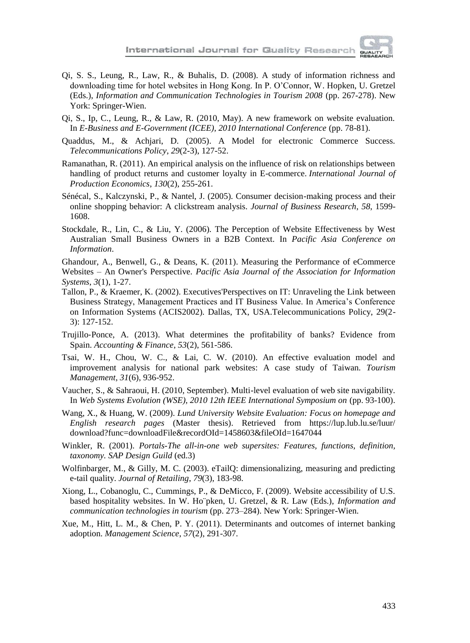- Qi, S. S., Leung, R., Law, R., & Buhalis, D. (2008). A study of information richness and downloading time for hotel websites in Hong Kong. In P. O'Connor, W. Hopken, U. Gretzel (Eds.), *Information and Communication Technologies in Tourism 2008* (pp. 267-278). New York: Springer-Wien.
- Qi, S., Ip, C., Leung, R., & Law, R. (2010, May). A new framework on website evaluation. In *E-Business and E-Government (ICEE), 2010 International Conference* (pp. 78-81).
- Quaddus, M., & Achjari, D. (2005). A Model for electronic Commerce Success. *Telecommunications Policy*, *29*(2-3), 127-52.
- Ramanathan, R. (2011). An empirical analysis on the influence of risk on relationships between handling of product returns and customer loyalty in E-commerce. *International Journal of Production Economics*, *130*(2), 255-261.
- Sénécal, S., Kalczynski, P., & Nantel, J. (2005). Consumer decision-making process and their online shopping behavior: A clickstream analysis. *Journal of Business Research*, *58*, 1599- 1608.
- Stockdale, R., Lin, C., & Liu, Y. (2006). The Perception of Website Effectiveness by West Australian Small Business Owners in a B2B Context. In *Pacific Asia Conference on Information*.

Ghandour, A., Benwell, G., & Deans, K. (2011). Measuring the Performance of eCommerce Websites – An Owner's Perspective. *Pacific Asia Journal of the Association for Information Systems*, *3*(1), 1-27.

- Tallon, P., & Kraemer, K. (2002). Executives'Perspectives on IT: Unraveling the Link between Business Strategy, Management Practices and IT Business Value. In America's Conference on Information Systems (ACIS2002). Dallas, TX, USA.Telecommunications Policy, 29(2- 3): 127-152.
- Trujillo‐Ponce, A. (2013). What determines the profitability of banks? Evidence from Spain. *Accounting & Finance*, *53*(2), 561-586.
- Tsai, W. H., Chou, W. C., & Lai, C. W. (2010). An effective evaluation model and improvement analysis for national park websites: A case study of Taiwan. *Tourism Management*, *31*(6), 936-952.
- Vaucher, S., & Sahraoui, H. (2010, September). Multi-level evaluation of web site navigability. In *Web Systems Evolution (WSE), 2010 12th IEEE International Symposium on* (pp. 93-100).
- Wang, X., & Huang, W. (2009). *Lund University Website Evaluation: Focus on homepage and English research pages* (Master thesis). Retrieved from https://lup.lub.lu.se/luur/ download?func=downloadFile&recordOId=1458603&fileOId=1647044
- Winkler, R. (2001). *Portals-The all-in-one web supersites: Features, functions, definition, taxonomy. SAP Design Guild* (ed.3)
- Wolfinbarger, M., & Gilly, M. C. (2003). eTailO: dimensionalizing, measuring and predicting e-tail quality. *Journal of Retailing*, *79*(3), 183-98.
- Xiong, L., Cobanoglu, C., Cummings, P., & DeMicco, F. (2009). Website accessibility of U.S. based hospitality websites. In W. Ho¨pken, U. Gretzel, & R. Law (Eds.), *Information and communication technologies in tourism* (pp. 273–284). New York: Springer-Wien.
- Xue, M., Hitt, L. M., & Chen, P. Y. (2011). Determinants and outcomes of internet banking adoption. *Management Science*, *57*(2), 291-307.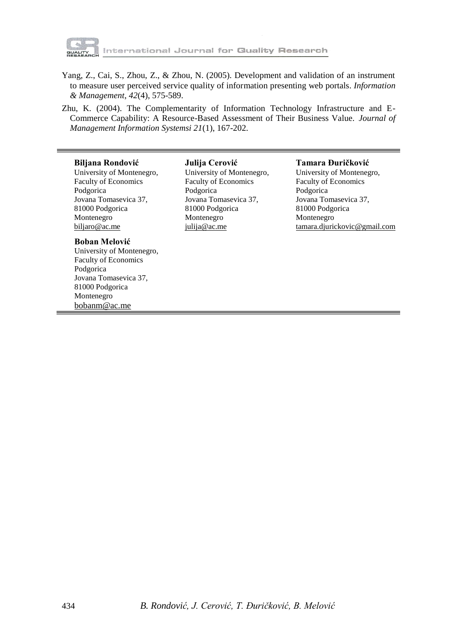

tternational Journal for Gluality Research

- Yang, Z., Cai, S., Zhou, Z., & Zhou, N. (2005). Development and validation of an instrument to measure user perceived service quality of information presenting web portals. *Information & Management*, *42*(4), 575-589.
- Zhu, K. (2004). The Complementarity of Information Technology Infrastructure and E-Commerce Capability: A Resource-Based Assessment of Their Business Value. *Journal of Management Information Systemsi 21*(1), 167-202.

#### **Biljana Rondović**

University of Montenegro, Faculty of Economics Podgorica Jovana Tomasevica 37, 81000 Podgorica Montenegro [biljaro@ac.me](mailto:biljaro@ac.me)

#### **Boban Melović**

University of Montenegro, Faculty of Economics Podgorica Jovana Tomasevica 37, 81000 Podgorica Montenegro bobanm@ac.me

**Julija Cerović** University of Montenegro, Faculty of Economics Podgorica Jovana Tomasevica 37, 81000 Podgorica Montenegro julija@ac.me

#### **Tamara Đuričković**

University of Montenegro, Faculty of Economics Podgorica Jovana Tomasevica 37, 81000 Podgorica Montenegro [tamara.djurickovic@gmail.com](mailto:tamara.djurickovic@gmail.com)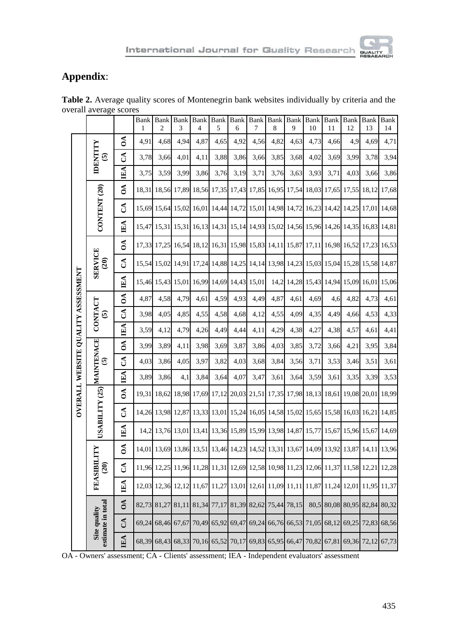# **Appendix**:

|                                    |                                           |               | <b>Bank</b><br>$\mathbf{1}$ | <b>Bank</b><br>$\overline{c}$ | Bank<br>3 | <b>Bank</b><br>4 | Bank<br>5 | <b>Bank</b><br>6 | $\ensuremath{\mathsf{Bank}}$<br>7 | Bank<br>8 | Bank<br>9 | Bank<br>10  | <b>Bank</b><br>11 | <b>Bank</b><br>12 | Bank<br>13 | <b>Bank</b><br>14 |
|------------------------------------|-------------------------------------------|---------------|-----------------------------|-------------------------------|-----------|------------------|-----------|------------------|-----------------------------------|-----------|-----------|-------------|-------------------|-------------------|------------|-------------------|
|                                    |                                           | $\delta$      | 4,91                        | 4,68                          | 4,94      | 4,87             | 4,65      | 4,92             | 4,56                              | 4,82      | 4,63      | 4,73        | 4,66              | 4,9               | 4,69       | 4,71              |
|                                    | <b>IDENTITY</b><br>$\widehat{\mathbf{e}}$ | J             | 3,78                        | 3,66                          | 4,01      | 4,11             | 3,88      | 3,86             | 3,66                              | 3,85      | 3,68      | 4,02        | 3,69              | 3,99              | 3,78       | 3,94              |
|                                    |                                           | $E\Lambda$    | 3,75                        | 3,59                          | 3,99      | 3,86             | 3,76      | 3,19             | 3,71                              | 3,76      | 3,63      | 3,93        | 3,71              | 4,03              | 3,66       | 3,86              |
|                                    |                                           | $\delta$      | 18,31                       | 18,56                         | 17,89     | 18,56            | 17,35     | 17,43            | 17,85                             | 16,95     | 17,54     | 18,03       | 17,65             | 17,55             | 18,12      | 17,68             |
|                                    | CONTENT (20)                              | ే             | 15,69                       | 15,64                         | 15,02     | 16,01            | 14,44     | 14,72            | 15,01                             | 14,98     | 14,72     | 16,23       | 14,42             | 14,25             | 17,01      | 14,68             |
|                                    |                                           | IEA           | 15,47                       | 15,31                         | 15,31     | 16,13            | 14,31     | 15,14            | 14,93                             | 15,02     |           | 14,56 15,96 | 14,26             | 14,35             | 16,83      | 14,81             |
|                                    |                                           | $\delta$      | 17,33                       | 17,25                         | 16,54     | 18,12            | 16,31     | 15,98            | 15,83                             | 14,11     | 15,87     | 17,11       | 16,98             | 16,52             | 17,23      | 16,53             |
|                                    | <b>SERVICE</b><br>(20)                    | J             | 15,54                       | 15,02                         | 14,91     | 17,24            | 14,88     | 14,25            | 14,14                             | 13,98     | 14,23     | 15,03       | 15,04             | 15,28             | 15,58      | 14,87             |
| OVERALL WEBSITE QUALITY ASSESSMENT |                                           | IEA           | 15,46                       | 15,43                         | 15,01     | 16,99            | 14,69     | 14,43            | 15,01                             | 14,2      | 14,28     | 15,43       | 14,94             | 15,09             | 16,01      | 15,06             |
|                                    | CONTACT<br>$\widehat{\mathbf{e}}$         | $0\text{A}$   | 4,87                        | 4,58                          | 4,79      | 4,61             | 4,59      | 4,93             | 4,49                              | 4,87      | 4,61      | 4,69        | 4,6               | 4,82              | 4,73       | 4,61              |
|                                    |                                           | S             | 3,98                        | 4,05                          | 4,85      | 4,55             | 4,58      | 4,68             | 4,12                              | 4,55      | 4,09      | 4,35        | 4,49              | 4,66              | 4,53       | 4,33              |
|                                    |                                           | IEA           | 3,59                        | 4,12                          | 4,79      | 4,26             | 4,49      | 4,44             | 4,11                              | 4,29      | 4,38      | 4,27        | 4,38              | 4,57              | 4,61       | 4,41              |
|                                    | MAINTENACE<br>$\widehat{\mathbf{e}}$      | $\delta$      | 3,99                        | 3,89                          | 4,11      | 3,98             | 3,69      | 3,87             | 3,86                              | 4,03      | 3,85      | 3,72        | 3,66              | 4,21              | 3,95       | 3,84              |
|                                    |                                           | S             | 4,03                        | 3,86                          | 4,05      | 3,97             | 3,82      | 4,03             | 3,68                              | 3,84      | 3,56      | 3,71        | 3,53              | 3,46              | 3,51       | 3,61              |
|                                    |                                           | <b>IEA</b>    | 3,89                        | 3,86                          | 4,1       | 3,84             | 3,64      | 4,07             | 3,47                              | 3,61      | 3,64      | 3,59        | 3,61              | 3,35              | 3,39       | 3,53              |
|                                    |                                           | $\delta$      | 19,31                       | 18,62                         | 18,98     | 17,69            | 17,12     | 20,03            | 21,51                             | 17,35     | 17,98     | 18,13       | 18,61             | 19,08             | 20,01      | 18,99             |
|                                    | USABILITY (25)                            | $\mathcal{L}$ | 14,26                       | 13,98                         | 12,87     | 13,33            | 13,01     | 15,24            | 16,05                             | 14,58     |           | 15,02 15,65 | 15,58             | 16,03             | 16,21      | 14,85             |
|                                    |                                           | ЩA            | 14,2                        | 13,76                         | 13,01     | 13,41            | 13,36     | 15,89            | 15,99                             | 13,98     | 14,87     | 15,77       | 15,67             | 15,96             | 15,67      | 14,69             |
|                                    |                                           | $\delta$      | 14,01                       | 13,69                         | 13,86     | 13,51            | 13,46     | 14,23            | 14,52                             | 13,31     | 13,67     | 14,09       | 13,92             | 13,87             | 14,11      | 13,96             |
|                                    | FEASIBILITY<br>$\widehat{c}$              | ే             | 11,96                       | 12,25                         | 11,96     | 11,28            | 11,31     | 12,69            | 12,58                             | 10,98     | 11,23     | 12,06       | 11,37             | 11,58             | 12,21      | 12,28             |
|                                    |                                           | IEA           | 12,03                       | 12,36                         | 12,12     | 11,67            | 11,27     | 13,01            | 12,61                             | 11,09     | 11,11     | 11,87       | 11,24             | 12,01             | 11,95      | 11,37             |
|                                    |                                           | $\delta$      | 82,73                       | 81,27                         | 81,11     | 81,34            | 77,17     | 81,39            | 82,62                             | 75,44     | 78,15     | 80,5        |                   | 80,08 80,95       | 82,84      | 80,32             |
|                                    | estimate in total<br>Site quality         | $\mathbb{S}$  | 69,24                       | 68,46                         | 67,67     | 70,49            | 65,92     | 69,47            | 69,24                             | 66,76     | 66,53     | 71,05       |                   | 68,12 69,25       | 72,83      | 68,56             |
|                                    |                                           | EA            | 68,39                       | 68,43                         | 68,33     | 70,16            | 65,52     | 70,17            | 69,83                             | 65,95     | 66,47     | 70,82       | 67,81             | 69,36             | 72,12      | 67,73             |

**Table 2.** Average quality scores of Montenegrin bank websites individually by criteria and the overall average scores

|  | OA - Owners' assessment: CA - Clients' assessment: IEA - Independent evaluators' assessment |  |  |  |  |  |
|--|---------------------------------------------------------------------------------------------|--|--|--|--|--|
|--|---------------------------------------------------------------------------------------------|--|--|--|--|--|